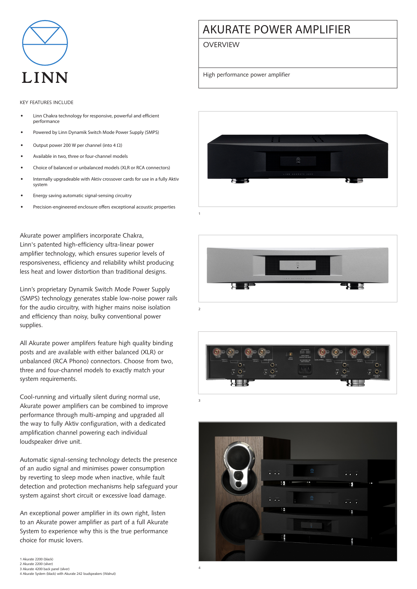

## Key features include

- Linn Chakra technology for responsive, powerful and efficient performance
- Powered by Linn Dynamik Switch Mode Power Supply (SMPS)
- Output power 200 W per channel (into  $4 \Omega$ )
- Available in two, three or four-channel models
- Choice of balanced or unbalanced models (XLR or RCA connectors)
- Internally upgradeable with Aktiv crossover cards for use in a fully Aktiv system
- Energy saving automatic signal-sensing circuitry
- Precision-engineered enclosure offers exceptional acoustic properties

Akurate power amplifiers incorporate Chakra, Linn's patented high-efficiency ultra-linear power amplifier technology, which ensures superior levels of responsiveness, efficiency and reliability whilst producing less heat and lower distortion than traditional designs.

Linn's proprietary Dynamik Switch Mode Power Supply (SMPS) technology generates stable low-noise power rails for the audio circuitry, with higher mains noise isolation and efficiency than noisy, bulky conventional power supplies.

All Akurate power amplifers feature high quality binding posts and are available with either balanced (XLR) or unbalanced (RCA Phono) connectors. Choose from two, three and four-channel models to exactly match your system requirements.

Cool-running and virtually silent during normal use, Akurate power amplifiers can be combined to improve performance through multi-amping and upgraded all the way to fully Aktiv configuration, with a dedicated amplification channel powering each individual loudspeaker drive unit.

Automatic signal-sensing technology detects the presence of an audio signal and minimises power consumption by reverting to sleep mode when inactive, while fault detection and protection mechanisms help safeguard your system against short circuit or excessive load damage.

An exceptional power amplifier in its own right, listen to an Akurate power amplifier as part of a full Akurate System to experience why this is the true performance choice for music lovers.

## Akurate power amplifier

**OVERVIEW** 

High performance power amplifier









4

3